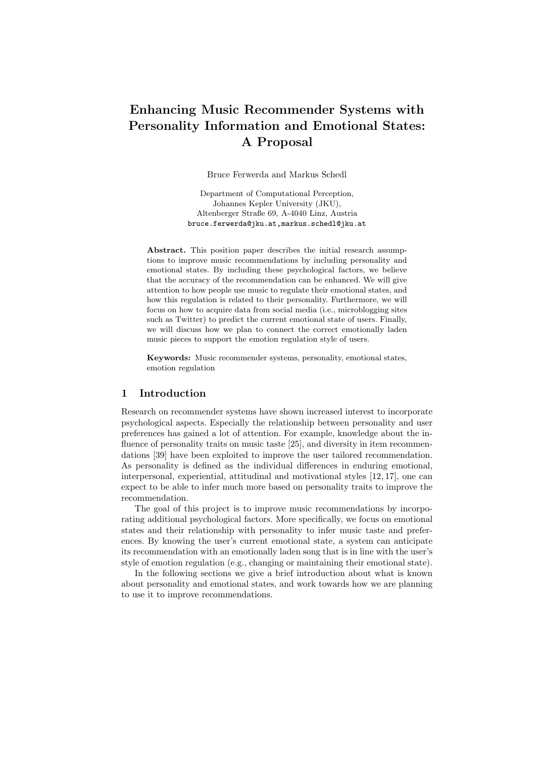# Enhancing Music Recommender Systems with Personality Information and Emotional States: A Proposal

Bruce Ferwerda and Markus Schedl

Department of Computational Perception, Johannes Kepler University (JKU), Altenberger Straße 69, A-4040 Linz, Austria bruce.ferwerda@jku.at,markus.schedl@jku.at

Abstract. This position paper describes the initial research assumptions to improve music recommendations by including personality and emotional states. By including these psychological factors, we believe that the accuracy of the recommendation can be enhanced. We will give attention to how people use music to regulate their emotional states, and how this regulation is related to their personality. Furthermore, we will focus on how to acquire data from social media (i.e., microblogging sites such as Twitter) to predict the current emotional state of users. Finally, we will discuss how we plan to connect the correct emotionally laden music pieces to support the emotion regulation style of users.

Keywords: Music recommender systems, personality, emotional states, emotion regulation

## 1 Introduction

Research on recommender systems have shown increased interest to incorporate psychological aspects. Especially the relationship between personality and user preferences has gained a lot of attention. For example, knowledge about the influence of personality traits on music taste [25], and diversity in item recommendations [39] have been exploited to improve the user tailored recommendation. As personality is defined as the individual differences in enduring emotional, interpersonal, experiential, attitudinal and motivational styles [12, 17], one can expect to be able to infer much more based on personality traits to improve the recommendation.

The goal of this project is to improve music recommendations by incorporating additional psychological factors. More specifically, we focus on emotional states and their relationship with personality to infer music taste and preferences. By knowing the user's current emotional state, a system can anticipate its recommendation with an emotionally laden song that is in line with the user's style of emotion regulation (e.g., changing or maintaining their emotional state).

In the following sections we give a brief introduction about what is known about personality and emotional states, and work towards how we are planning to use it to improve recommendations.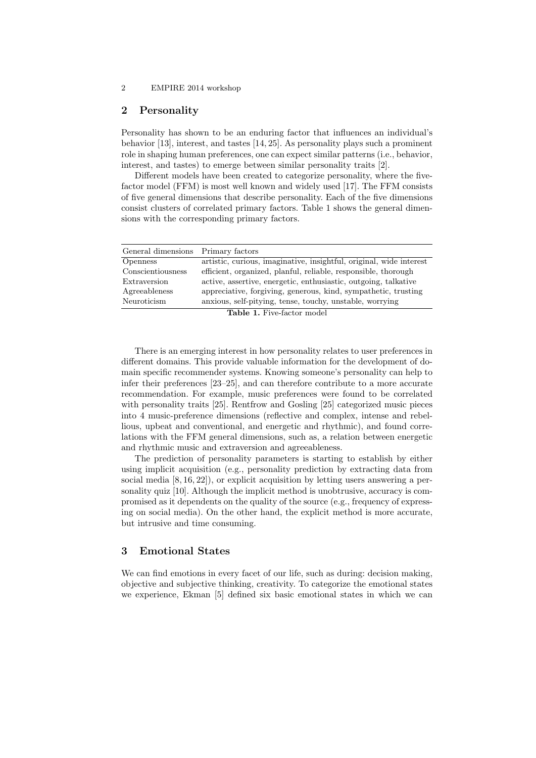#### 2 EMPIRE 2014 workshop

## 2 Personality

Personality has shown to be an enduring factor that influences an individual's behavior [13], interest, and tastes [14, 25]. As personality plays such a prominent role in shaping human preferences, one can expect similar patterns (i.e., behavior, interest, and tastes) to emerge between similar personality traits [2].

Different models have been created to categorize personality, where the fivefactor model (FFM) is most well known and widely used [17]. The FFM consists of five general dimensions that describe personality. Each of the five dimensions consist clusters of correlated primary factors. Table 1 shows the general dimensions with the corresponding primary factors.

| General dimensions Primary factors |                                                                     |
|------------------------------------|---------------------------------------------------------------------|
| <i>Openness</i>                    | artistic, curious, imaginative, insightful, original, wide interest |
| Conscientiousness                  | efficient, organized, planful, reliable, responsible, thorough      |
| Extraversion                       | active, assertive, energetic, enthusiastic, outgoing, talkative     |
| Agreeableness                      | appreciative, forgiving, generous, kind, sympathetic, trusting      |
| Neuroticism                        | anxious, self-pitying, tense, touchy, unstable, worrying            |
| <b>Table 1.</b> Five-factor model  |                                                                     |

There is an emerging interest in how personality relates to user preferences in different domains. This provide valuable information for the development of domain specific recommender systems. Knowing someone's personality can help to infer their preferences [23–25], and can therefore contribute to a more accurate recommendation. For example, music preferences were found to be correlated with personality traits [25]. Rentfrow and Gosling [25] categorized music pieces into 4 music-preference dimensions (reflective and complex, intense and rebellious, upbeat and conventional, and energetic and rhythmic), and found correlations with the FFM general dimensions, such as, a relation between energetic and rhythmic music and extraversion and agreeableness.

The prediction of personality parameters is starting to establish by either using implicit acquisition (e.g., personality prediction by extracting data from social media [8, 16, 22]), or explicit acquisition by letting users answering a personality quiz [10]. Although the implicit method is unobtrusive, accuracy is compromised as it dependents on the quality of the source (e.g., frequency of expressing on social media). On the other hand, the explicit method is more accurate, but intrusive and time consuming.

# 3 Emotional States

We can find emotions in every facet of our life, such as during: decision making, objective and subjective thinking, creativity. To categorize the emotional states we experience, Ekman [5] defined six basic emotional states in which we can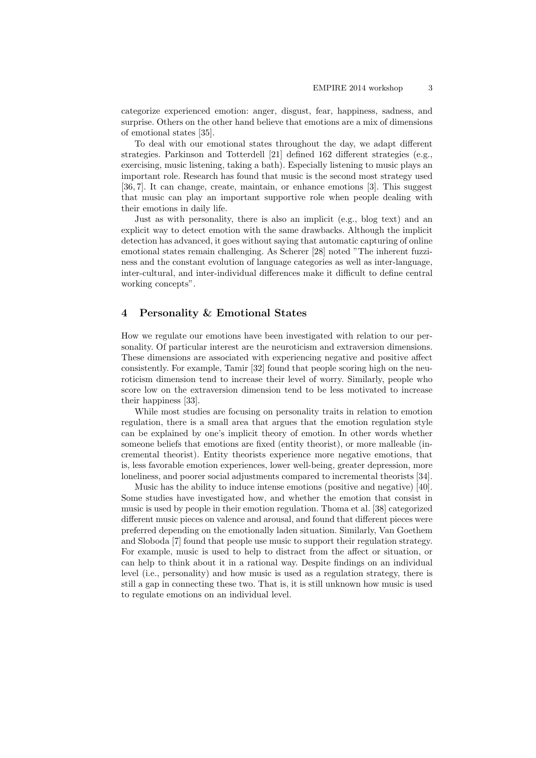categorize experienced emotion: anger, disgust, fear, happiness, sadness, and surprise. Others on the other hand believe that emotions are a mix of dimensions of emotional states [35].

To deal with our emotional states throughout the day, we adapt different strategies. Parkinson and Totterdell [21] defined 162 different strategies (e.g., exercising, music listening, taking a bath). Especially listening to music plays an important role. Research has found that music is the second most strategy used [36, 7]. It can change, create, maintain, or enhance emotions [3]. This suggest that music can play an important supportive role when people dealing with their emotions in daily life.

Just as with personality, there is also an implicit (e.g., blog text) and an explicit way to detect emotion with the same drawbacks. Although the implicit detection has advanced, it goes without saying that automatic capturing of online emotional states remain challenging. As Scherer [28] noted "The inherent fuzziness and the constant evolution of language categories as well as inter-language, inter-cultural, and inter-individual differences make it difficult to define central working concepts".

## 4 Personality & Emotional States

How we regulate our emotions have been investigated with relation to our personality. Of particular interest are the neuroticism and extraversion dimensions. These dimensions are associated with experiencing negative and positive affect consistently. For example, Tamir [32] found that people scoring high on the neuroticism dimension tend to increase their level of worry. Similarly, people who score low on the extraversion dimension tend to be less motivated to increase their happiness [33].

While most studies are focusing on personality traits in relation to emotion regulation, there is a small area that argues that the emotion regulation style can be explained by one's implicit theory of emotion. In other words whether someone beliefs that emotions are fixed (entity theorist), or more malleable (incremental theorist). Entity theorists experience more negative emotions, that is, less favorable emotion experiences, lower well-being, greater depression, more loneliness, and poorer social adjustments compared to incremental theorists [34].

Music has the ability to induce intense emotions (positive and negative) [40]. Some studies have investigated how, and whether the emotion that consist in music is used by people in their emotion regulation. Thoma et al. [38] categorized different music pieces on valence and arousal, and found that different pieces were preferred depending on the emotionally laden situation. Similarly, Van Goethem and Sloboda [7] found that people use music to support their regulation strategy. For example, music is used to help to distract from the affect or situation, or can help to think about it in a rational way. Despite findings on an individual level (i.e., personality) and how music is used as a regulation strategy, there is still a gap in connecting these two. That is, it is still unknown how music is used to regulate emotions on an individual level.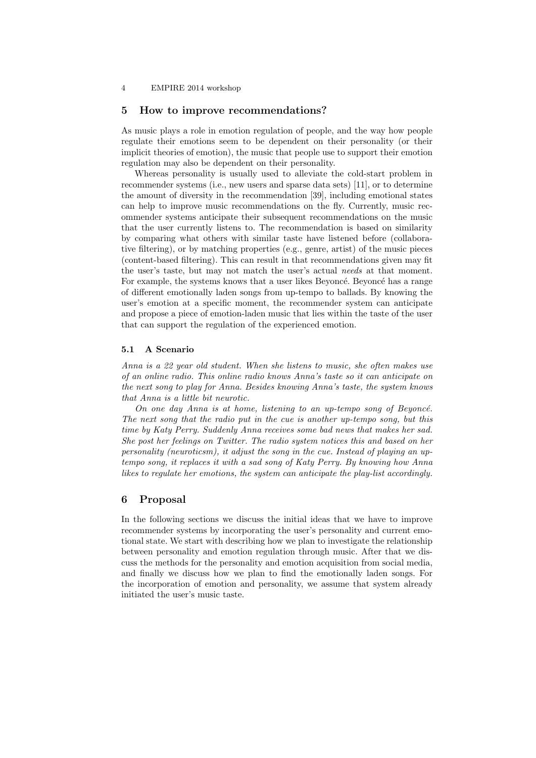#### 4 EMPIRE 2014 workshop

#### 5 How to improve recommendations?

As music plays a role in emotion regulation of people, and the way how people regulate their emotions seem to be dependent on their personality (or their implicit theories of emotion), the music that people use to support their emotion regulation may also be dependent on their personality.

Whereas personality is usually used to alleviate the cold-start problem in recommender systems (i.e., new users and sparse data sets) [11], or to determine the amount of diversity in the recommendation [39], including emotional states can help to improve music recommendations on the fly. Currently, music recommender systems anticipate their subsequent recommendations on the music that the user currently listens to. The recommendation is based on similarity by comparing what others with similar taste have listened before (collaborative filtering), or by matching properties (e.g., genre, artist) of the music pieces (content-based filtering). This can result in that recommendations given may fit the user's taste, but may not match the user's actual needs at that moment. For example, the systems knows that a user likes Beyoncé. Beyoncé has a range of different emotionally laden songs from up-tempo to ballads. By knowing the user's emotion at a specific moment, the recommender system can anticipate and propose a piece of emotion-laden music that lies within the taste of the user that can support the regulation of the experienced emotion.

## 5.1 A Scenario

Anna is a 22 year old student. When she listens to music, she often makes use of an online radio. This online radio knows Anna's taste so it can anticipate on the next song to play for Anna. Besides knowing Anna's taste, the system knows that Anna is a little bit neurotic.

On one day Anna is at home, listening to an up-tempo song of Beyoncé. The next song that the radio put in the cue is another up-tempo song, but this time by Katy Perry. Suddenly Anna receives some bad news that makes her sad. She post her feelings on Twitter. The radio system notices this and based on her personality (neuroticsm), it adjust the song in the cue. Instead of playing an uptempo song, it replaces it with a sad song of Katy Perry. By knowing how Anna likes to regulate her emotions, the system can anticipate the play-list accordingly.

## 6 Proposal

In the following sections we discuss the initial ideas that we have to improve recommender systems by incorporating the user's personality and current emotional state. We start with describing how we plan to investigate the relationship between personality and emotion regulation through music. After that we discuss the methods for the personality and emotion acquisition from social media, and finally we discuss how we plan to find the emotionally laden songs. For the incorporation of emotion and personality, we assume that system already initiated the user's music taste.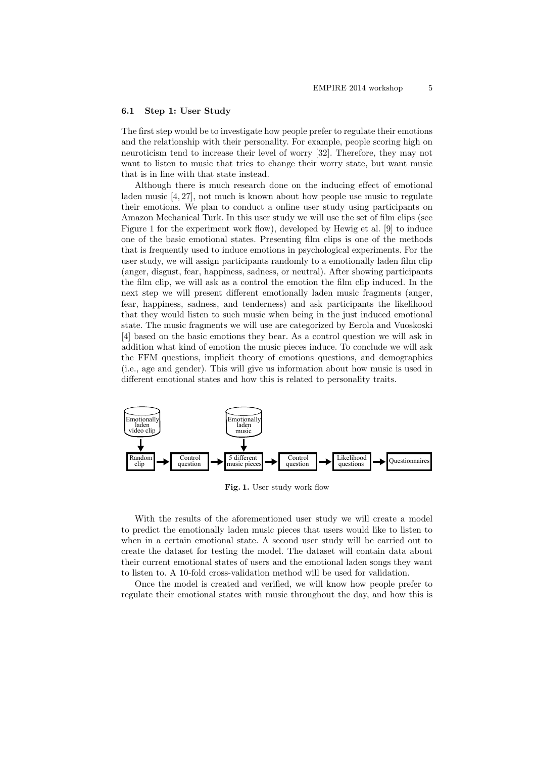#### 6.1 Step 1: User Study

The first step would be to investigate how people prefer to regulate their emotions and the relationship with their personality. For example, people scoring high on neuroticism tend to increase their level of worry [32]. Therefore, they may not want to listen to music that tries to change their worry state, but want music that is in line with that state instead.

Although there is much research done on the inducing effect of emotional laden music [4, 27], not much is known about how people use music to regulate their emotions. We plan to conduct a online user study using participants on Amazon Mechanical Turk. In this user study we will use the set of film clips (see Figure 1 for the experiment work flow), developed by Hewig et al. [9] to induce one of the basic emotional states. Presenting film clips is one of the methods that is frequently used to induce emotions in psychological experiments. For the user study, we will assign participants randomly to a emotionally laden film clip (anger, disgust, fear, happiness, sadness, or neutral). After showing participants the film clip, we will ask as a control the emotion the film clip induced. In the next step we will present different emotionally laden music fragments (anger, fear, happiness, sadness, and tenderness) and ask participants the likelihood that they would listen to such music when being in the just induced emotional state. The music fragments we will use are categorized by Eerola and Vuoskoski [4] based on the basic emotions they bear. As a control question we will ask in addition what kind of emotion the music pieces induce. To conclude we will ask the FFM questions, implicit theory of emotions questions, and demographics (i.e., age and gender). This will give us information about how music is used in different emotional states and how this is related to personality traits.



Fig. 1. User study work flow

With the results of the aforementioned user study we will create a model to predict the emotionally laden music pieces that users would like to listen to when in a certain emotional state. A second user study will be carried out to create the dataset for testing the model. The dataset will contain data about their current emotional states of users and the emotional laden songs they want to listen to. A 10-fold cross-validation method will be used for validation.

Once the model is created and verified, we will know how people prefer to regulate their emotional states with music throughout the day, and how this is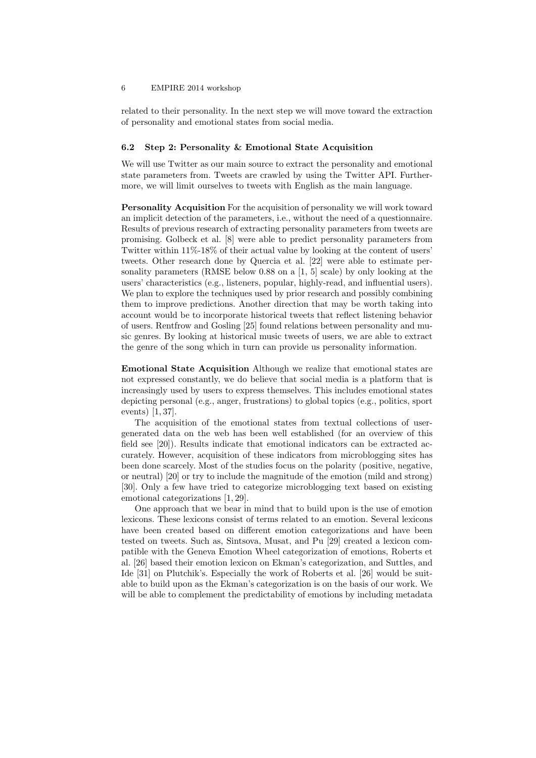#### 6 EMPIRE 2014 workshop

related to their personality. In the next step we will move toward the extraction of personality and emotional states from social media.

#### 6.2 Step 2: Personality & Emotional State Acquisition

We will use Twitter as our main source to extract the personality and emotional state parameters from. Tweets are crawled by using the Twitter API. Furthermore, we will limit ourselves to tweets with English as the main language.

Personality Acquisition For the acquisition of personality we will work toward an implicit detection of the parameters, i.e., without the need of a questionnaire. Results of previous research of extracting personality parameters from tweets are promising. Golbeck et al. [8] were able to predict personality parameters from Twitter within 11%-18% of their actual value by looking at the content of users' tweets. Other research done by Quercia et al. [22] were able to estimate personality parameters (RMSE below 0.88 on a [1, 5] scale) by only looking at the users' characteristics (e.g., listeners, popular, highly-read, and influential users). We plan to explore the techniques used by prior research and possibly combining them to improve predictions. Another direction that may be worth taking into account would be to incorporate historical tweets that reflect listening behavior of users. Rentfrow and Gosling [25] found relations between personality and music genres. By looking at historical music tweets of users, we are able to extract the genre of the song which in turn can provide us personality information.

Emotional State Acquisition Although we realize that emotional states are not expressed constantly, we do believe that social media is a platform that is increasingly used by users to express themselves. This includes emotional states depicting personal (e.g., anger, frustrations) to global topics (e.g., politics, sport events) [1, 37].

The acquisition of the emotional states from textual collections of usergenerated data on the web has been well established (for an overview of this field see [20]). Results indicate that emotional indicators can be extracted accurately. However, acquisition of these indicators from microblogging sites has been done scarcely. Most of the studies focus on the polarity (positive, negative, or neutral) [20] or try to include the magnitude of the emotion (mild and strong) [30]. Only a few have tried to categorize microblogging text based on existing emotional categorizations [1, 29].

One approach that we bear in mind that to build upon is the use of emotion lexicons. These lexicons consist of terms related to an emotion. Several lexicons have been created based on different emotion categorizations and have been tested on tweets. Such as, Sintsova, Musat, and Pu [29] created a lexicon compatible with the Geneva Emotion Wheel categorization of emotions, Roberts et al. [26] based their emotion lexicon on Ekman's categorization, and Suttles, and Ide [31] on Plutchik's. Especially the work of Roberts et al. [26] would be suitable to build upon as the Ekman's categorization is on the basis of our work. We will be able to complement the predictability of emotions by including metadata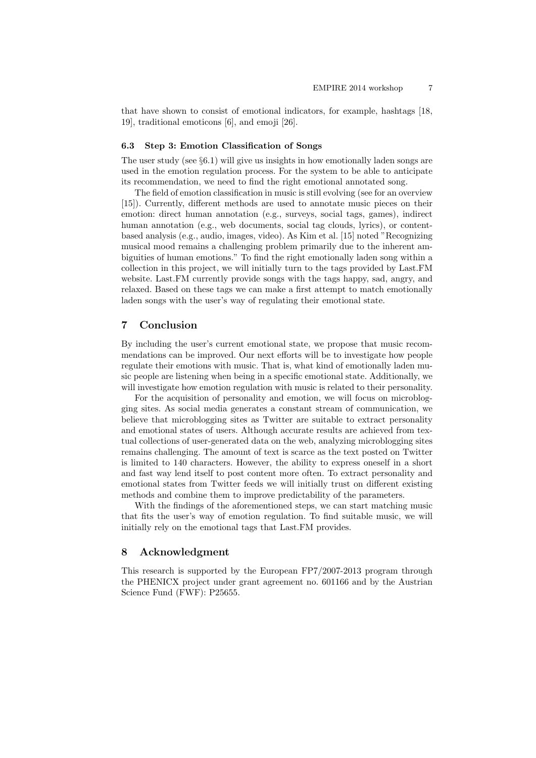that have shown to consist of emotional indicators, for example, hashtags [18, 19], traditional emoticons [6], and emoji [26].

#### 6.3 Step 3: Emotion Classification of Songs

The user study (see  $\S6.1$ ) will give us insights in how emotionally laden songs are used in the emotion regulation process. For the system to be able to anticipate its recommendation, we need to find the right emotional annotated song.

The field of emotion classification in music is still evolving (see for an overview [15]). Currently, different methods are used to annotate music pieces on their emotion: direct human annotation (e.g., surveys, social tags, games), indirect human annotation (e.g., web documents, social tag clouds, lyrics), or contentbased analysis (e.g., audio, images, video). As Kim et al. [15] noted "Recognizing musical mood remains a challenging problem primarily due to the inherent ambiguities of human emotions." To find the right emotionally laden song within a collection in this project, we will initially turn to the tags provided by Last.FM website. Last.FM currently provide songs with the tags happy, sad, angry, and relaxed. Based on these tags we can make a first attempt to match emotionally laden songs with the user's way of regulating their emotional state.

## 7 Conclusion

By including the user's current emotional state, we propose that music recommendations can be improved. Our next efforts will be to investigate how people regulate their emotions with music. That is, what kind of emotionally laden music people are listening when being in a specific emotional state. Additionally, we will investigate how emotion regulation with music is related to their personality.

For the acquisition of personality and emotion, we will focus on microblogging sites. As social media generates a constant stream of communication, we believe that microblogging sites as Twitter are suitable to extract personality and emotional states of users. Although accurate results are achieved from textual collections of user-generated data on the web, analyzing microblogging sites remains challenging. The amount of text is scarce as the text posted on Twitter is limited to 140 characters. However, the ability to express oneself in a short and fast way lend itself to post content more often. To extract personality and emotional states from Twitter feeds we will initially trust on different existing methods and combine them to improve predictability of the parameters.

With the findings of the aforementioned steps, we can start matching music that fits the user's way of emotion regulation. To find suitable music, we will initially rely on the emotional tags that Last.FM provides.

## 8 Acknowledgment

This research is supported by the European FP7/2007-2013 program through the PHENICX project under grant agreement no. 601166 and by the Austrian Science Fund (FWF): P25655.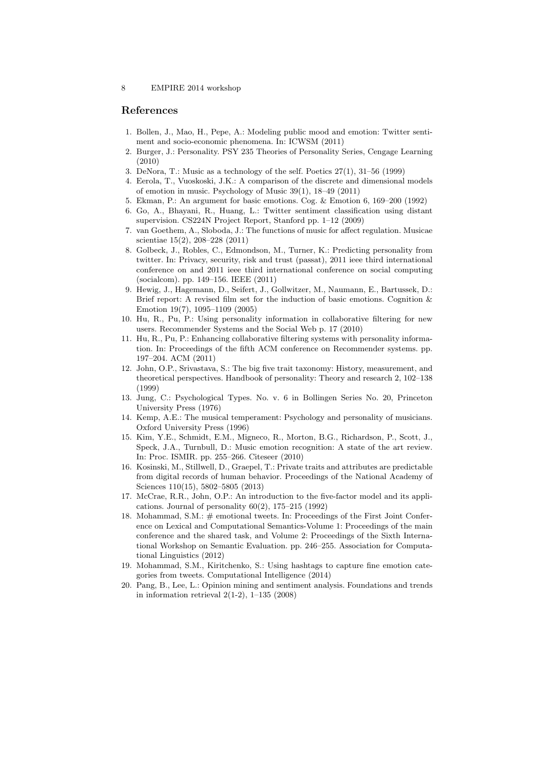### References

- 1. Bollen, J., Mao, H., Pepe, A.: Modeling public mood and emotion: Twitter sentiment and socio-economic phenomena. In: ICWSM (2011)
- 2. Burger, J.: Personality. PSY 235 Theories of Personality Series, Cengage Learning (2010)
- 3. DeNora, T.: Music as a technology of the self. Poetics 27(1), 31–56 (1999)
- 4. Eerola, T., Vuoskoski, J.K.: A comparison of the discrete and dimensional models of emotion in music. Psychology of Music 39(1), 18–49 (2011)
- 5. Ekman, P.: An argument for basic emotions. Cog. & Emotion 6, 169–200 (1992)
- 6. Go, A., Bhayani, R., Huang, L.: Twitter sentiment classification using distant supervision. CS224N Project Report, Stanford pp. 1–12 (2009)
- 7. van Goethem, A., Sloboda, J.: The functions of music for affect regulation. Musicae scientiae 15(2), 208–228 (2011)
- 8. Golbeck, J., Robles, C., Edmondson, M., Turner, K.: Predicting personality from twitter. In: Privacy, security, risk and trust (passat), 2011 ieee third international conference on and 2011 ieee third international conference on social computing (socialcom). pp. 149–156. IEEE (2011)
- 9. Hewig, J., Hagemann, D., Seifert, J., Gollwitzer, M., Naumann, E., Bartussek, D.: Brief report: A revised film set for the induction of basic emotions. Cognition & Emotion 19(7), 1095–1109 (2005)
- 10. Hu, R., Pu, P.: Using personality information in collaborative filtering for new users. Recommender Systems and the Social Web p. 17 (2010)
- 11. Hu, R., Pu, P.: Enhancing collaborative filtering systems with personality information. In: Proceedings of the fifth ACM conference on Recommender systems. pp. 197–204. ACM (2011)
- 12. John, O.P., Srivastava, S.: The big five trait taxonomy: History, measurement, and theoretical perspectives. Handbook of personality: Theory and research 2, 102–138 (1999)
- 13. Jung, C.: Psychological Types. No. v. 6 in Bollingen Series No. 20, Princeton University Press (1976)
- 14. Kemp, A.E.: The musical temperament: Psychology and personality of musicians. Oxford University Press (1996)
- 15. Kim, Y.E., Schmidt, E.M., Migneco, R., Morton, B.G., Richardson, P., Scott, J., Speck, J.A., Turnbull, D.: Music emotion recognition: A state of the art review. In: Proc. ISMIR. pp. 255–266. Citeseer (2010)
- 16. Kosinski, M., Stillwell, D., Graepel, T.: Private traits and attributes are predictable from digital records of human behavior. Proceedings of the National Academy of Sciences 110(15), 5802–5805 (2013)
- 17. McCrae, R.R., John, O.P.: An introduction to the five-factor model and its applications. Journal of personality  $60(2)$ ,  $175-215$   $(1992)$
- 18. Mohammad, S.M.: # emotional tweets. In: Proceedings of the First Joint Conference on Lexical and Computational Semantics-Volume 1: Proceedings of the main conference and the shared task, and Volume 2: Proceedings of the Sixth International Workshop on Semantic Evaluation. pp. 246–255. Association for Computational Linguistics (2012)
- 19. Mohammad, S.M., Kiritchenko, S.: Using hashtags to capture fine emotion categories from tweets. Computational Intelligence (2014)
- 20. Pang, B., Lee, L.: Opinion mining and sentiment analysis. Foundations and trends in information retrieval  $2(1-2)$ ,  $1-135$   $(2008)$